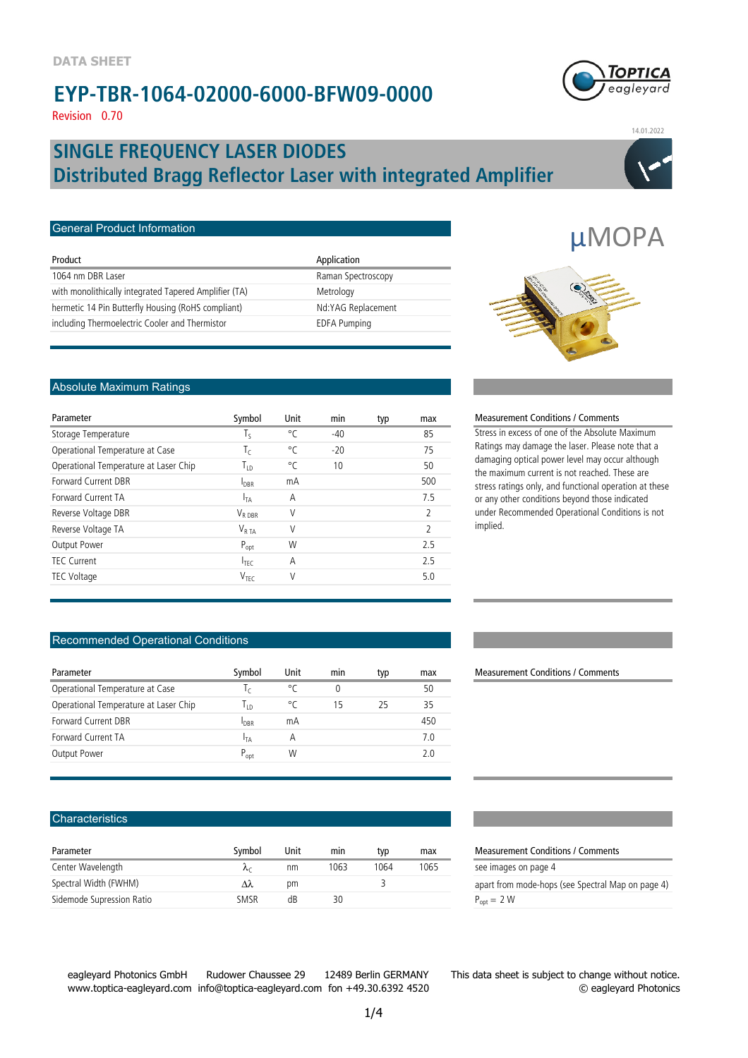

µMOPA

Revision 0.70

### **Distributed Bragg Reflector Laser with integrated Amplifier SINGLE FREQUENCY LASER DIODES**



14.01.2022

| Product                                               | Application         |
|-------------------------------------------------------|---------------------|
| 1064 nm DBR Laser                                     | Raman Spectroscopy  |
| with monolithically integrated Tapered Amplifier (TA) | Metrology           |
| hermetic 14 Pin Butterfly Housing (RoHS compliant)    | Nd:YAG Replacement  |
| including Thermoelectric Cooler and Thermistor        | <b>EDFA Pumping</b> |

#### Absolute Maximum Ratings

General Product Information

| Parameter                             | Symbol              | Unit | min   | typ | max            |
|---------------------------------------|---------------------|------|-------|-----|----------------|
| Storage Temperature                   | Τς                  | °C   | $-40$ |     | 85             |
| Operational Temperature at Case       | Τc                  | °C   | $-20$ |     | 75             |
| Operational Temperature at Laser Chip | Т <sub>гр</sub>     | °C   | 10    |     | 50             |
| <b>Forward Current DBR</b>            | $I_{\text{DBR}}$    | mA   |       |     | 500            |
| Forward Current TA                    | $I_{TA}$            | Α    |       |     | 75             |
| Reverse Voltage DBR                   | $V_{R \text{ DRR}}$ | V    |       |     | $\mathfrak{D}$ |
| Reverse Voltage TA                    | $V_{RTA}$           | V    |       |     | $\mathfrak{D}$ |
| Output Power                          | $P_{opt}$           | W    |       |     | 25             |
| TFC Current                           | $I_{\text{TEC}}$    | A    |       |     | 25             |
| <b>TEC Voltage</b>                    | V <sub>TFC</sub>    | V    |       |     | 5.0            |
|                                       |                     |      |       |     |                |

#### Recommended Operational Conditions

| Parameter                             | Symbol          | Unit | mın | typ | max |
|---------------------------------------|-----------------|------|-----|-----|-----|
| Operational Temperature at Case       | $\mathsf{L}$    | ۰Γ   | 0   |     | 50  |
| Operational Temperature at Laser Chip | Īю              | °C   | 15  | 25  | 35  |
| Forward Current DBR                   | <b>I</b> DBR    | mΑ   |     |     | 450 |
| Forward Current TA                    | <sup>I</sup> TA | А    |     |     | 70  |
| <b>Output Power</b>                   | $P_{opt}$       | W    |     |     | 2 O |
|                                       |                 |      |     |     |     |

#### **Characteristics**

| Parameter                 | Symbol | Unit | mın  | typ  | max  | Measurem               |
|---------------------------|--------|------|------|------|------|------------------------|
| Center Wavelength         |        | nm   | 1063 | 1064 | 1065 | see images             |
| Spectral Width (FWHM)     | Λλ     | рm   |      |      |      | apart from             |
| Sidemode Supression Ratio | SMSR   | dB   | 30   |      |      | $P_{\text{ont}} = 2 W$ |

#### **Measurement Conditions / Comments**

Stress in excess of one of the Absolute Maximum Ratings may damage the laser. Please note that a damaging optical power level may occur although the maximum current is not reached. These are stress ratings only, and functional operation at these or any other conditions beyond those indicated under Recommended Operational Conditions is not implied.

**Measurement Conditions / Comments** 

#### **Measurement Conditions / Comments**

see images on page 4

apart from mode-hops (see Spectral Map on page 4)

eagleyard Photonics GmbH Rudower Chaussee 29 12489 Berlin GERMANY www.toptica-eagleyard.com info@toptica-eagleyard.com fon +49.30.6392 4520

This data sheet is subject to change without notice. © eagleyard Photonics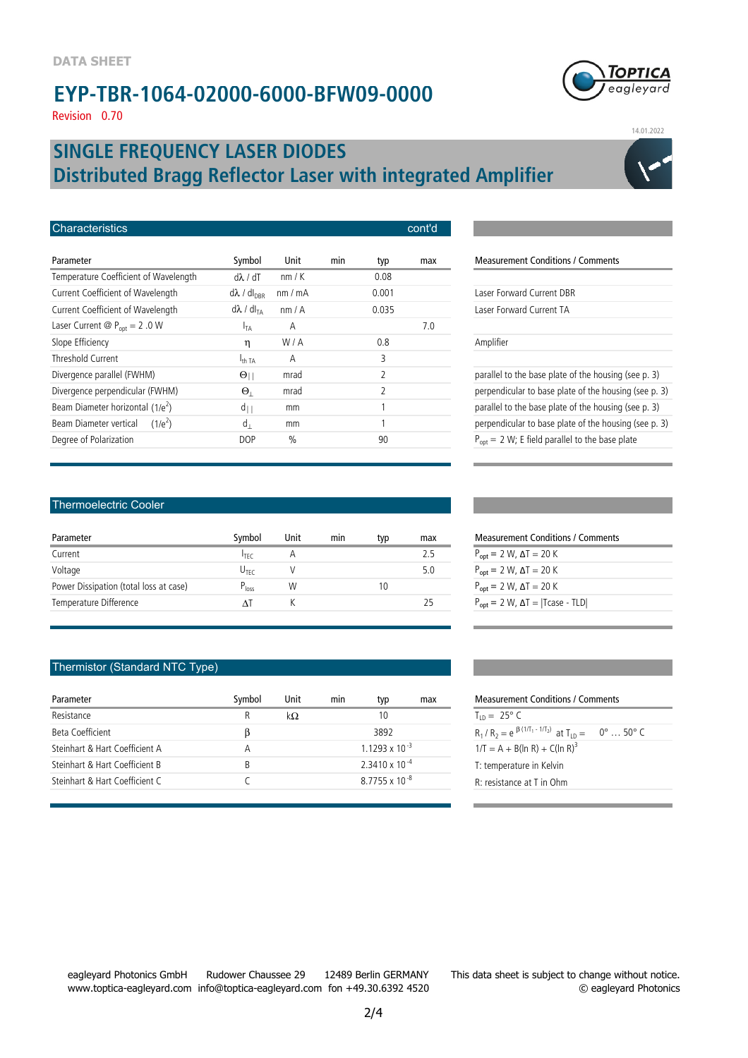Revision 0.70

### **Distributed Bragg Reflector Laser with integrated Amplifier SINGLE FREQUENCY LASER DIODES**

| <b>Characteristics</b>                                                                | cont'd         |
|---------------------------------------------------------------------------------------|----------------|
| Parameter<br>Symbol<br>Unit<br>min<br>typ                                             | Measure<br>max |
| Temperature Coefficient of Wavelength<br>$d\lambda$ / dT<br>nm/K<br>0.08              |                |
| Current Coefficient of Wavelength<br>$d\lambda$ / $dl_{\text{DBR}}$<br>0.001<br>nm/mA | Laser For      |
| Current Coefficient of Wavelength<br>$d\lambda / dl_{TA}$<br>0.035<br>nm/A            | Laser For      |
| Laser Current @ $P_{opt} = 2.0 W$<br>A<br><b>I<sub>TA</sub></b>                       | 7.0            |
| Slope Efficiency<br>W/A<br>0.8<br>η                                                   | Amplifier      |
| Threshold Current<br>3<br>А<br>$I_{\text{th TA}}$                                     |                |
| $\overline{2}$<br>Divergence parallel (FWHM)<br>$\Theta_{\parallel}$<br>mrad          | parallel t     |
| 2<br>Divergence perpendicular (FWHM)<br>$\Theta_1$<br>mrad                            | perpendi       |
| Beam Diameter horizontal $(1/e^2)$<br>$d_{\parallel}$<br>1<br>mm                      | parallel t     |
| Beam Diameter vertical<br>1<br>$d_{\perp}$<br>$(1/e^2)$<br>mm                         | perpendi       |
| Degree of Polarization<br>$\%$<br>90<br><b>DOP</b>                                    | $P_{opt} = 2$  |

### **Measurement Conditions / Comments** Laser Forward Current DBR Laser Forward Current TA parallel to the base plate of the housing (see p. 3) perpendicular to base plate of the housing (see p. 3) parallel to the base plate of the housing (see p. 3) perpendicular to base plate of the housing (see p. 3)

#### Thermoelectric Cooler

| Parameter                              | Symbol           | Unit | mın | typ | max |
|----------------------------------------|------------------|------|-----|-----|-----|
| Current                                | $I_{\text{TEC}}$ | Α    |     |     | 75  |
| Voltage                                | U <sub>TFC</sub> |      |     |     | 5.0 |
| Power Dissipation (total loss at case) | $P_{loss}$       | W    |     | 10  |     |
| Temperature Difference                 |                  |      |     |     |     |

#### Thermistor (Standard NTC Type)

| Parameter                      | Symbol | Unit       | min | typ                      | max | <b>Measurement Conditions / Comments</b>                    |
|--------------------------------|--------|------------|-----|--------------------------|-----|-------------------------------------------------------------|
| Resistance                     | R      | k $\Omega$ |     | 10                       |     | $T_{10} = 25^{\circ} C$                                     |
| Beta Coefficient               |        |            |     | 3892                     |     | $R_1/R_2 = e^{\beta (1/T_1 - 1/T_2)}$ at $T_{1D} = 0^\circ$ |
| Steinhart & Hart Coefficient A |        |            |     | 1 1 2 9 3 x 1 0 $^{-3}$  |     | $1/T = A + B(ln R) + C(ln R)^3$                             |
| Steinhart & Hart Coefficient B | B      |            |     | $2.3410 \times 10^{-4}$  |     | T: temperature in Kelvin                                    |
| Steinhart & Hart Coefficient C |        |            |     | 87755 x 10 <sup>-8</sup> |     | $R$ : resistance at T in Ohm                                |
|                                |        |            |     |                          |     |                                                             |

#### $P_{\text{opt}} = 2 \text{ W}$ ,  $\Delta T = 20 \text{ K}$  $P_{opt} = 2 W$ , ΔT = 20 K  $P_{opt} = 2 W, \Delta T = 20 K$  $P_{opt} = 2 W$ ,  $\Delta T = |T \text{case} - TLD|$

Measurement Conditions / Comments

 $P_{opt} = 2 W$ ; E field parallel to the base plate

| Measurement Conditions / Comments                   |            |
|-----------------------------------------------------|------------|
| $T_{1D} = 25^{\circ} C$                             |            |
| $R_1/R_2 = e^{\beta (1/T_1 - 1/T_2)}$ at $T_{1D} =$ | 0° … 50° C |
| $1/T = A + B(ln R) + C(ln R)^3$                     |            |
| T: temperature in Kelvin                            |            |
| R: resistance at T in Ohm                           |            |



14.01.2022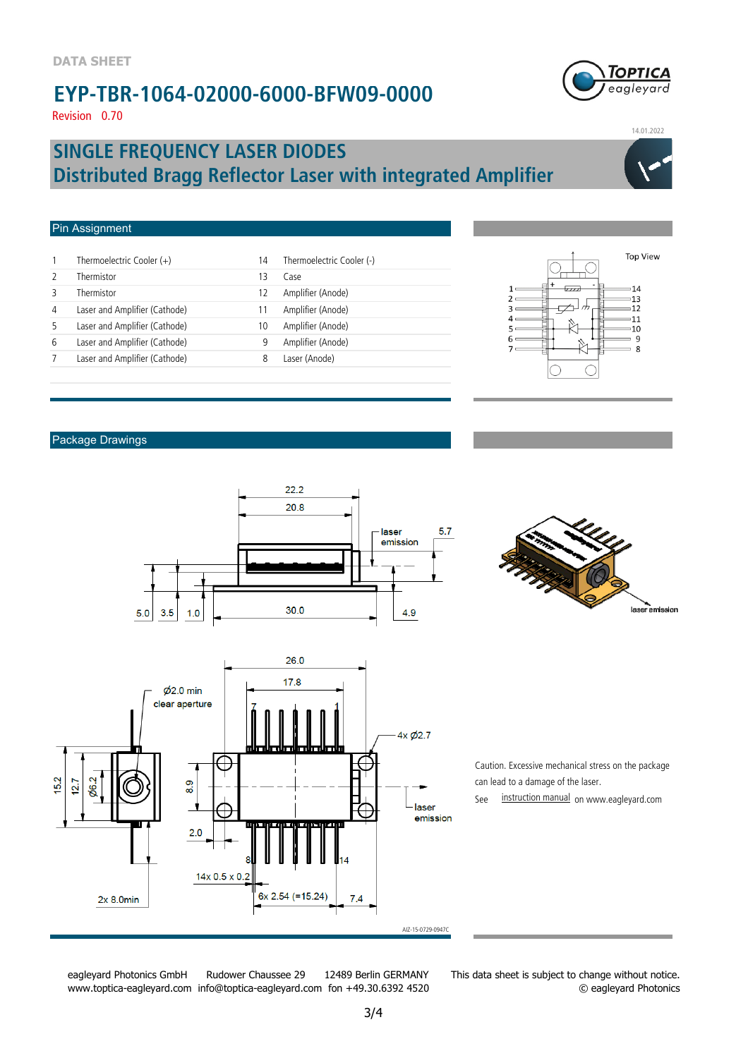**GPTICA** eagleyard

14.01.2022

Revision 0.70

### **Distributed Bragg Reflector Laser with integrated Amplifier SINGLE FREQUENCY LASER DIODES**

#### Pin Assignment

|   | Thermoelectric Cooler $(+)$   | 14 | Thermoelectric Cooler (-) |
|---|-------------------------------|----|---------------------------|
|   | Thermistor                    | 13 | Case                      |
|   | Thermistor                    | 12 | Amplifier (Anode)         |
| 4 | Laser and Amplifier (Cathode) | 11 | Amplifier (Anode)         |
|   | Laser and Amplifier (Cathode) | 10 | Amplifier (Anode)         |
| 6 | Laser and Amplifier (Cathode) | 9  | Amplifier (Anode)         |
|   | Laser and Amplifier (Cathode) | 8  | Laser (Anode)             |
|   |                               |    |                           |



#### Package Drawings







Caution. Excessive mechanical stress on the package can lead to a damage of the laser.

See instruction manual on www.eagleyard.com

eagleyard Photonics GmbH Rudower Chaussee 29 12489 Berlin GERMANY www.toptica-eagleyard.com info@toptica-eagleyard.com fon +49.30.6392 4520 This data sheet is subject to change without notice. © eagleyard Photonics